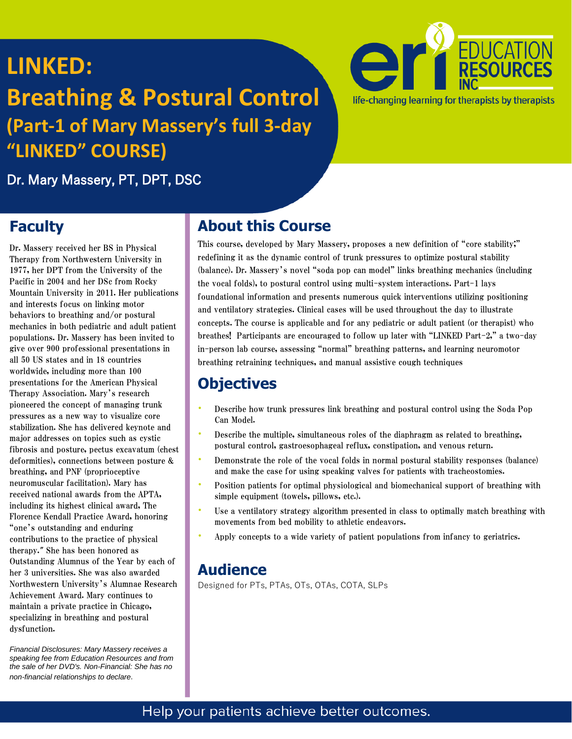# **LINKED:**

# **Breathing & Postural Control (Part-1 of Mary Massery's full 3-day "LINKED" COURSE)**



Dr. Mary Massery, PT, DPT, DSC

### **Faculty**

Dr. Massery received her BS in Physical Therapy from Northwestern University in 1977, her DPT from the University of the Pacific in 2004 and her DSc from Rocky Mountain University in 2011. Her publications and interests focus on linking motor behaviors to breathing and/or postural mechanics in both pediatric and adult patient populations. Dr. Massery has been invited to give over 900 professional presentations in all 50 US states and in 18 countries worldwide, including more than 100 presentations for the American Physical Therapy Association. Mary's research pioneered the concept of managing trunk pressures as a new way to visualize core stabilization. She has delivered keynote and major addresses on topics such as cystic fibrosis and posture, pectus excavatum (chest deformities), connections between posture & breathing, and PNF (proprioceptive neuromuscular facilitation). Mary has received national awards from the APTA, including its highest clinical award, The Florence Kendall Practice Award, honoring "one's outstanding and enduring contributions to the practice of physical therapy." She has been honored as Outstanding Alumnus of the Year by each of her 3 universities. She was also awarded Northwestern University's Alumnae Research Achievement Award. Mary continues to maintain a private practice in Chicago, specializing in breathing and postural dysfunction.

*Financial Disclosures: Mary Massery receives a speaking fee from Education Resources and from the sale of her DVD's. Non-Financial: She has no non-financial relationships to declare*.

### **About this Course**

This course, developed by Mary Massery, proposes a new definition of "core stability;" redefining it as the dynamic control of trunk pressures to optimize postural stability (balance). Dr. Massery's novel "soda pop can model" links breathing mechanics (including the vocal folds), to postural control using multi-system interactions. Part-1 lays foundational information and presents numerous quick interventions utilizing positioning and ventilatory strategies. Clinical cases will be used throughout the day to illustrate concepts. The course is applicable and for any pediatric or adult patient (or therapist) who breathes! Participants are encouraged to follow up later with "LINKED Part-2," a two-day in-person lab course, assessing "normal" breathing patterns, and learning neuromotor breathing retraining techniques, and manual assistive cough techniques

### **Objectives**

- Describe how trunk pressures link breathing and postural control using the Soda Pop Can Model.
- Describe the multiple, simultaneous roles of the diaphragm as related to breathing, postural control, gastroesophageal reflux, constipation, and venous return.
- Demonstrate the role of the vocal folds in normal postural stability responses (balance) and make the case for using speaking valves for patients with tracheostomies.
- Position patients for optimal physiological and biomechanical support of breathing with simple equipment (towels, pillows, etc.).
- Use a ventilatory strategy algorithm presented in class to optimally match breathing with movements from bed mobility to athletic endeavors.
- Apply concepts to a wide variety of patient populations from infancy to geriatrics.

### **Audience**

Designed for PTs, PTAs, OTs, OTAs, COTA, SLPs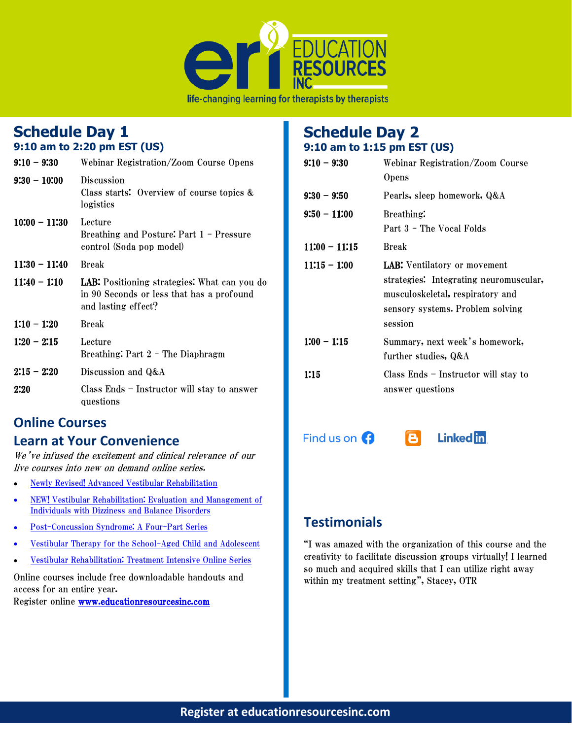

### **Schedule Day 1**

#### **9:10 am to 2:20 pm EST (US)**

| $9:10 - 9:30$   | Webinar Registration/Zoom Course Opens                                                                                  |  |  |
|-----------------|-------------------------------------------------------------------------------------------------------------------------|--|--|
| $9:30 - 10:00$  | <b>Discussion</b><br>Class starts: Overview of course topics &<br>logistics                                             |  |  |
| $10:00 - 11:30$ | Lecture<br>Breathing and Posture: Part 1 - Pressure<br>control (Soda pop model)                                         |  |  |
| $11:30 - 11:40$ | <b>Break</b>                                                                                                            |  |  |
| $11:40 - 1:10$  | <b>LAB:</b> Positioning strategies: What can you do<br>in 90 Seconds or less that has a profound<br>and lasting effect? |  |  |
| $1:10 - 1:20$   | <b>Break</b>                                                                                                            |  |  |
| $1:20 - 2:15$   | Lecture<br>Breathing: Part 2 - The Diaphragm                                                                            |  |  |
| $2:15 - 2:20$   | Discussion and Q&A                                                                                                      |  |  |
| 2:20            | Class Ends – Instructor will stay to answer<br>questions                                                                |  |  |

### **Online Courses**

#### **Learn at Your Convenience**

We've infused the excitement and clinical relevance of our live courses into new on demand online series.

- [Newly Revised! Advanced Vestibular Rehabilitation](https://www.educationresourcesinc.com/courses/2020-05-28/advanced-vestibular-rehabilitation-online-series-2/)
- [NEW! Vestibular Rehabilitation: Evaluation and Management of](https://www.educationresourcesinc.com/courses/2021-09-27/vestibular-rehabilitation-evaluation-and-management-of-individuals-with-dizziness-and-balance-disorders-online-series/)  [Individuals with Dizziness and Balance Disorders](https://www.educationresourcesinc.com/courses/2021-09-27/vestibular-rehabilitation-evaluation-and-management-of-individuals-with-dizziness-and-balance-disorders-online-series/)
- [Post-Concussion Syndrome: A Four-Part](https://www.educationresourcesinc.com/courses/2018-08-16/post-concussion-syndrome-series-a-four-part-series/) Series
- [Vestibular Therapy for the School-Aged](https://www.educationresourcesinc.com/courses/2019-01-17/vestibular-therapy-for-the-school-aged-child-and-adolescent-on-line-series/) Child and Adolescent
- [Vestibular Rehabilitation: Treatment Intensive Online Series](https://www.educationresourcesinc.com/courses/2020-04-24/vestibular-rehabilitation-treatment-intensive-online-series/)

Online courses include free downloadable handouts and access for an entire year.

Register online [www.educationresourcesinc.com](http://www.educationresourcesinc.com/) 

#### **Schedule Day 2 9:10 am to 1:15 pm EST (US)**

| $9:10 - 9:30$   | <b>Webinar Registration/Zoom Course</b><br><b>Opens</b>                                                                                                          |
|-----------------|------------------------------------------------------------------------------------------------------------------------------------------------------------------|
| $9:30 - 9:50$   | Pearls, sleep homework, Q&A                                                                                                                                      |
| $9:50 - 11:00$  | Breathing:<br>Part 3 - The Vocal Folds                                                                                                                           |
| $11:00 - 11:15$ | <b>Break</b>                                                                                                                                                     |
| $11:15 - 1:00$  | <b>LAB:</b> Ventilatory or movement<br>strategies: Integrating neuromuscular,<br>musculoskeletal, respiratory and<br>sensory systems. Problem solving<br>session |
| $1:00 - 1:15$   | Summary, next week's homework,<br>further studies, Q&A                                                                                                           |
| 1:15            | Class Ends - Instructor will stay to<br>answer questions                                                                                                         |

Find us on  $\Omega$ 



### **Testimonials**

"I was amazed with the organization of this course and the creativity to facilitate discussion groups virtually! I learned so much and acquired skills that I can utilize right away within my treatment setting", Stacey, OTR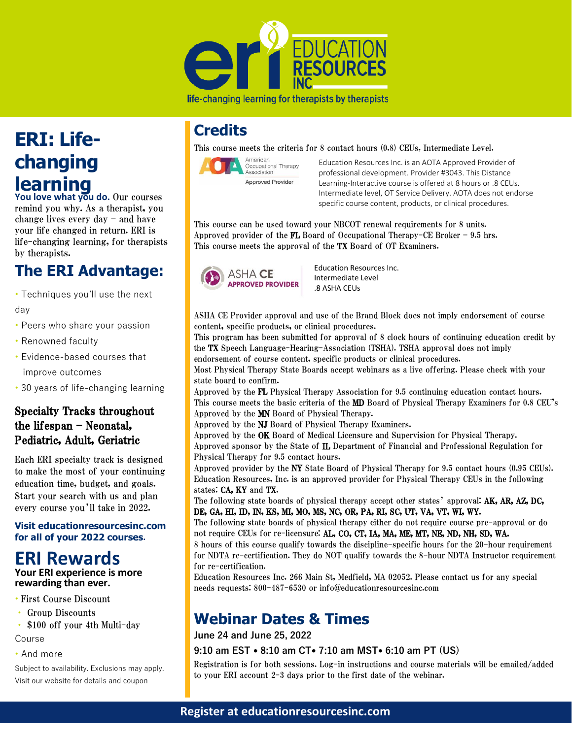

life-changing learning for therapists by therapists

### **Credits**

This course meets the criteria for 8 contact hours (0.8) CEUs, Intermediate Level.



Education Resources Inc. is an AOTA Approved Provider of professional development. Provider #3043. This Distance Learning-Interactive course is offered at 8 hours or .8 CEUs. Intermediate level, OT Service Delivery. AOTA does not endorse specific course content, products, or clinical procedures.

This course can be used toward your NBCOT renewal requirements for 8 units. Approved provider of the FL Board of Occupational Therapy-CE Broker  $-$  9.5 hrs. This course meets the approval of the TX Board of OT Examiners.



Education Resources Inc. Intermediate Level .8 ASHA CEUs

ASHA CE Provider approval and use of the Brand Block does not imply endorsement of course content, specific products, or clinical procedures.

This program has been submitted for approval of 8 clock hours of continuing education credit by the TX Speech Language-Hearing-Association (TSHA). TSHA approval does not imply endorsement of course content, specific products or clinical procedures.

Most Physical Therapy State Boards accept webinars as a live offering. Please check with your state board to confirm.

Approved by the FL Physical Therapy Association for 9.5 continuing education contact hours. This course meets the basic criteria of the MD Board of Physical Therapy Examiners for 0.8 CEU's Approved by the MN Board of Physical Therapy.

Approved by the NJ Board of Physical Therapy Examiners.

Approved by the OK Board of Medical Licensure and Supervision for Physical Therapy. Approved sponsor by the State of IL Department of Financial and Professional Regulation for Physical Therapy for 9.5 contact hours.

Approved provider by the NY State Board of Physical Therapy for 9.5 contact hours (0.95 CEUs). Education Resources, Inc. is an approved provider for Physical Therapy CEUs in the following states: CA, KY and TX.

The following state boards of physical therapy accept other states' approval: AK, AR, AZ, DC, DE, GA, HI, ID, IN, KS, MI, MO, MS, NC, OR, PA, RI, SC, UT, VA, VT, WI, WY.

The following state boards of physical therapy either do not require course pre-approval or do not require CEUs for re-licensure: AL, CO, CT, IA, MA, ME, MT, NE, ND, NH, SD, WA.

8 hours of this course qualify towards the discipline-specific hours for the 20-hour requirement for NDTA re-certification. They do NOT qualify towards the 8-hour NDTA Instructor requirement for re-certification.

Education Resources Inc. 266 Main St, Medfield, MA 02052. Please contact us for any special needs requests: 800-487-6530 or info@educationresourcesinc.com

### **Webinar Dates & Times**

**June 24 and June 25, 2022**

#### **9:10 am EST • 8:10 am CT• 7:10 am MST• 6:10 am PT (US)**

Registration is for both sessions. Log-in instructions and course materials will be emailed/added to your ERI account 2-3 days prior to the first date of the webinar.

### **Register at educationresourcesinc.com**

# **ERI: Lifechanging learning**

**You love what you do.** Our courses remind you why. As a therapist, you change lives every day – and have your life changed in return. ERI is life-changing learning, for therapists by therapists.

## **The ERI Advantage:**

• Techniques you'll use the next day

- Peers who share your passion
- Renowned faculty
- Evidence-based courses that improve outcomes
- 30 years of life-changing learning

#### Specialty Tracks throughout the lifespan – Neonatal, Pediatric, Adult, Geriatric

Each ERI specialty track is designed to make the most of your continuing education time, budget, and goals. Start your search with us and plan every course you'll take in 2022.

**Visit educationresourcesinc.com for all of your 2022 courses.**

## **ERI Rewards**

**Your ERI experience is more rewarding than ever.**

- First Course Discount
- Group Discounts
- \$100 off your 4th Multi-day

#### Course

• And more

Subject to availability. Exclusions may apply. Visit our website for details and coupon